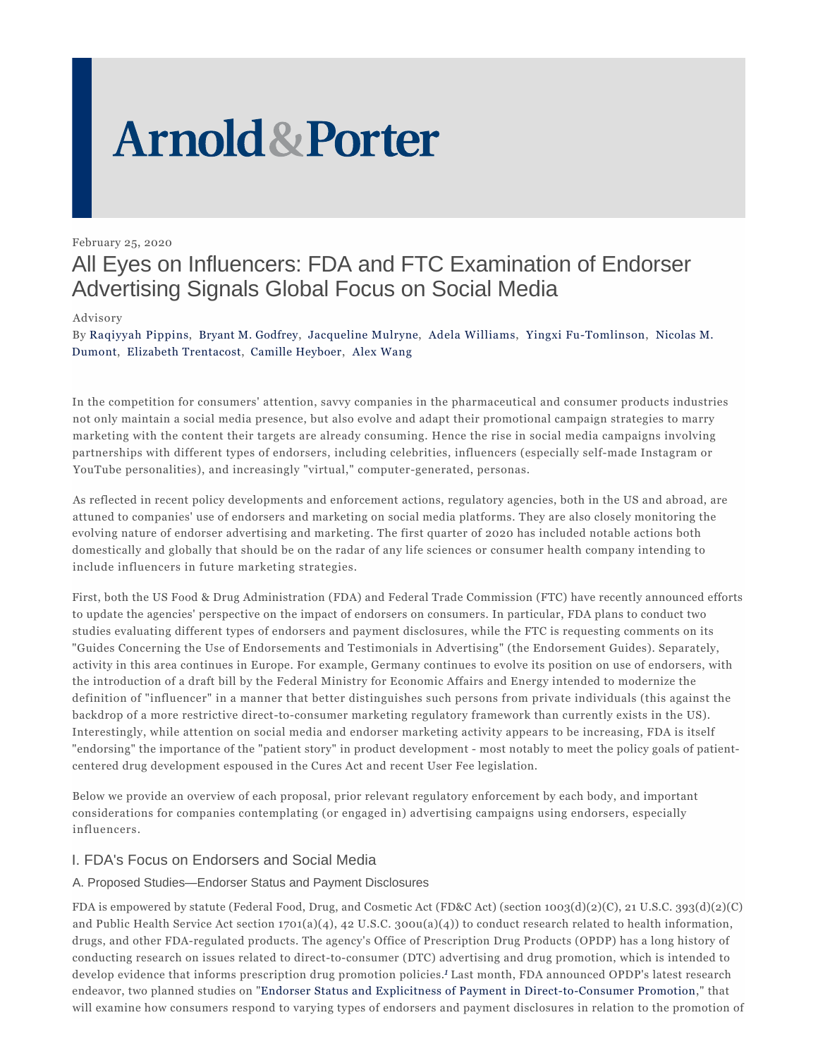# **Arnold & Porter**

February 25, 2020

# All Eyes on Influencers: FDA and FTC Examination of Endorser Advertising Signals Global Focus on Social Media

### Advisory

By Raqiyyah Pippins, Bryant M. Godfrey, Jacqueline Mulryne, Adela Williams, Yingxi Fu-Tomlinson, Nicolas M. Dumont, Elizabeth Trentacost, Camille Heyboer, Alex Wang

In the competition for consumers' attention, savvy companies in the pharmaceutical and consumer products industries not only maintain a social media presence, but also evolve and adapt their promotional campaign strategies to marry marketing with the content their targets are already consuming. Hence the rise in social media campaigns involving partnerships with different types of endorsers, including celebrities, influencers (especially self-made Instagram or YouTube personalities), and increasingly "virtual," computer-generated, personas.

As reflected in recent policy developments and enforcement actions, regulatory agencies, both in the US and abroad, are attuned to companies' use of endorsers and marketing on social media platforms. They are also closely monitoring the evolving nature of endorser advertising and marketing. The first quarter of 2020 has included notable actions both domestically and globally that should be on the radar of any life sciences or consumer health company intending to include influencers in future marketing strategies.

First, both the US Food & Drug Administration (FDA) and Federal Trade Commission (FTC) have recently announced efforts to update the agencies' perspective on the impact of endorsers on consumers. In particular, FDA plans to conduct two studies evaluating different types of endorsers and payment disclosures, while the FTC is requesting comments on its "Guides Concerning the Use of Endorsements and Testimonials in Advertising" (the Endorsement Guides). Separately, activity in this area continues in Europe. For example, Germany continues to evolve its position on use of endorsers, with the introduction of a draft bill by the Federal Ministry for Economic Affairs and Energy intended to modernize the definition of "influencer" in a manner that better distinguishes such persons from private individuals (this against the backdrop of a more restrictive direct-to-consumer marketing regulatory framework than currently exists in the US). Interestingly, while attention on social media and endorser marketing activity appears to be increasing, FDA is itself "endorsing" the importance of the "patient story" in product development - most notably to meet the policy goals of patientcentered drug development espoused in the Cures Act and recent User Fee legislation.

Below we provide an overview of each proposal, prior relevant regulatory enforcement by each body, and important considerations for companies contemplating (or engaged in) advertising campaigns using endorsers, especially influencers.

# I. FDA's Focus on Endorsers and Social Media

## A. Proposed Studies—Endorser Status and Payment Disclosures

FDA is empowered by statute (Federal Food, Drug, and Cosmetic Act (FD&C Act) (section  $1003(d)(2)(C)$ , 21 U.S.C. 393(d)(2)(C) and Public Health Service Act section 1701(a)(4), 42 U.S.C. 300u(a)(4)) to conduct research related to health information, drugs, and other FDA-regulated products. The agency's Office of Prescription Drug Products (OPDP) has a long history of conducting research on issues related to direct-to-consumer (DTC) advertising and drug promotion, which is intended to develop evidence that informs prescription drug promotion policies.*1* Last month, FDA announced OPDP's latest research endeavor, two planned studies on "Endorser Status and Explicitness of Payment in Direct-to-Consumer Promotion," that will examine how consumers respond to varying types of endorsers and payment disclosures in relation to the promotion of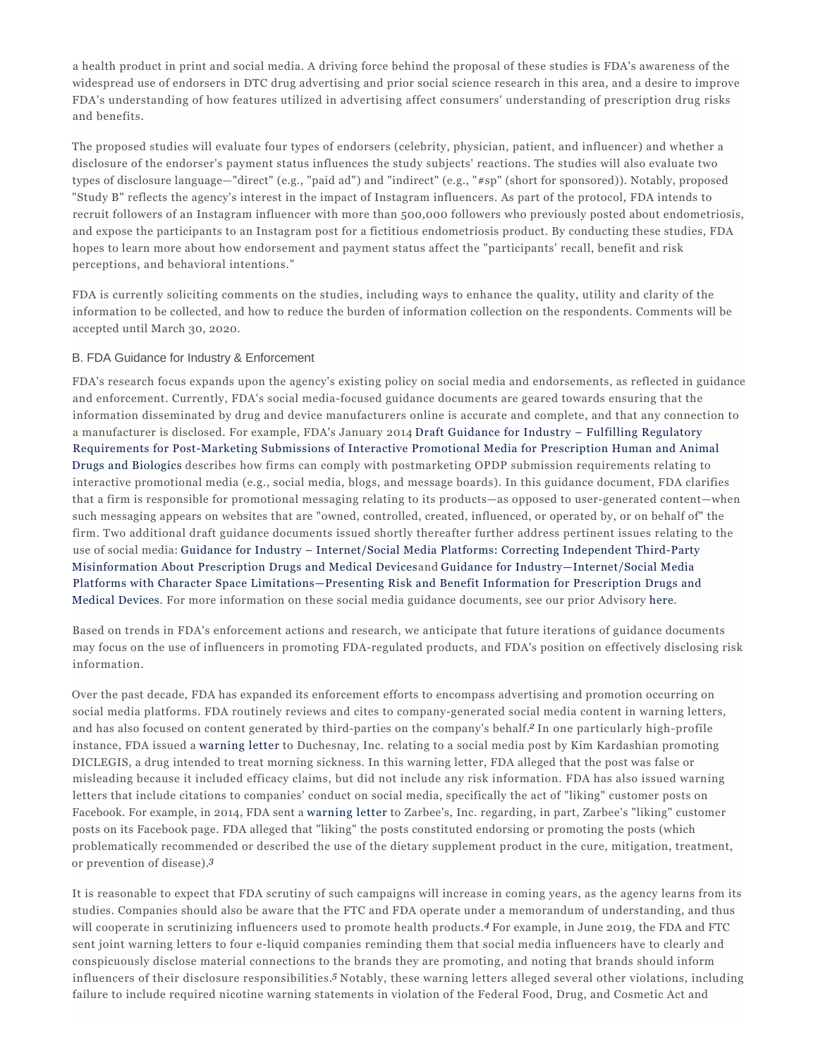a health product in print and social media. A driving force behind the proposal of these studies is FDA's awareness of the widespread use of endorsers in DTC drug advertising and prior social science research in this area, and a desire to improve FDA's understanding of how features utilized in advertising affect consumers' understanding of prescription drug risks and benefits.

The proposed studies will evaluate four types of endorsers (celebrity, physician, patient, and influencer) and whether a disclosure of the endorser's payment status influences the study subjects' reactions. The studies will also evaluate two types of disclosure language—"direct" (e.g., "paid ad") and "indirect" (e.g., "#sp" (short for sponsored)). Notably, proposed "Study B" reflects the agency's interest in the impact of Instagram influencers. As part of the protocol, FDA intends to recruit followers of an Instagram influencer with more than 500,000 followers who previously posted about endometriosis, and expose the participants to an Instagram post for a fictitious endometriosis product. By conducting these studies, FDA hopes to learn more about how endorsement and payment status affect the "participants' recall, benefit and risk perceptions, and behavioral intentions."

FDA is currently soliciting comments on the studies, including ways to enhance the quality, utility and clarity of the information to be collected, and how to reduce the burden of information collection on the respondents. Comments will be accepted until March 30, 2020.

#### B. FDA Guidance for Industry & Enforcement

FDA's research focus expands upon the agency's existing policy on social media and endorsements, as reflected in guidance and enforcement. Currently, FDA's social media-focused guidance documents are geared towards ensuring that the information disseminated by drug and device manufacturers online is accurate and complete, and that any connection to a manufacturer is disclosed. For example, FDA's January 2014 Draft Guidance for Industry – Fulfilling Regulatory Requirements for Post-Marketing Submissions of Interactive Promotional Media for Prescription Human and Animal Drugs and Biologics describes how firms can comply with postmarketing OPDP submission requirements relating to interactive promotional media (e.g., social media, blogs, and message boards). In this guidance document, FDA clarifies that a firm is responsible for promotional messaging relating to its products—as opposed to user-generated content—when such messaging appears on websites that are "owned, controlled, created, influenced, or operated by, or on behalf of" the firm. Two additional draft guidance documents issued shortly thereafter further address pertinent issues relating to the use of social media: Guidance for Industry – Internet/Social Media Platforms: Correcting Independent Third-Party Misinformation About Prescription Drugs and Medical Devicesand Guidance for Industry—Internet/Social Media Platforms with Character Space Limitations—Presenting Risk and Benefit Information for Prescription Drugs and Medical Devices. For more information on these social media guidance documents, see our prior Advisory here.

Based on trends in FDA's enforcement actions and research, we anticipate that future iterations of guidance documents may focus on the use of influencers in promoting FDA-regulated products, and FDA's position on effectively disclosing risk information.

Over the past decade, FDA has expanded its enforcement efforts to encompass advertising and promotion occurring on social media platforms. FDA routinely reviews and cites to company-generated social media content in warning letters, and has also focused on content generated by third-parties on the company's behalf.*2* In one particularly high-profile instance, FDA issued a warning letter to Duchesnay, Inc. relating to a social media post by Kim Kardashian promoting DICLEGIS, a drug intended to treat morning sickness. In this warning letter, FDA alleged that the post was false or misleading because it included efficacy claims, but did not include any risk information. FDA has also issued warning letters that include citations to companies' conduct on social media, specifically the act of "liking" customer posts on Facebook. For example, in 2014, FDA sent a warning letter to Zarbee's, Inc. regarding, in part, Zarbee's "liking" customer posts on its Facebook page. FDA alleged that "liking" the posts constituted endorsing or promoting the posts (which problematically recommended or described the use of the dietary supplement product in the cure, mitigation, treatment, or prevention of disease).*3*

It is reasonable to expect that FDA scrutiny of such campaigns will increase in coming years, as the agency learns from its studies. Companies should also be aware that the FTC and FDA operate under a memorandum of understanding, and thus will cooperate in scrutinizing influencers used to promote health products.<sup>4</sup> For example, in June 2019, the FDA and FTC sent joint warning letters to four e-liquid companies reminding them that social media influencers have to clearly and conspicuously disclose material connections to the brands they are promoting, and noting that brands should inform influencers of their disclosure responsibilities.*5* Notably, these warning letters alleged several other violations, including failure to include required nicotine warning statements in violation of the Federal Food, Drug, and Cosmetic Act and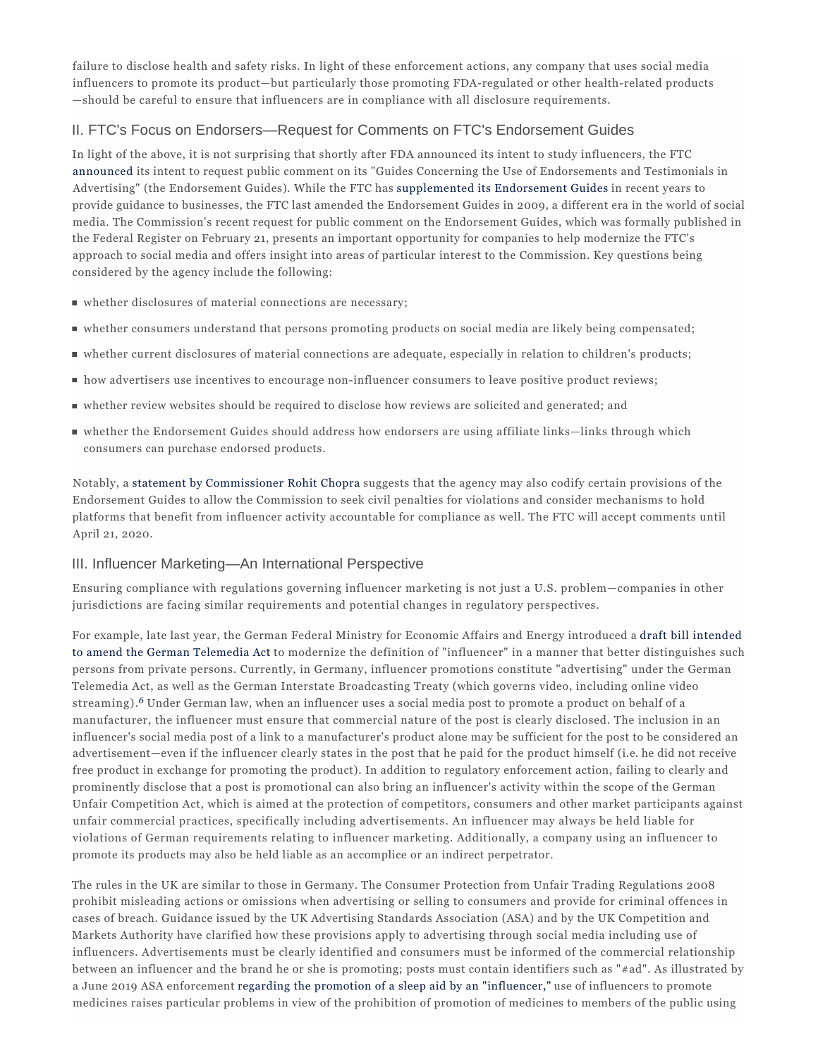failure to disclose health and safety risks. In light of these enforcement actions, any company that uses social media influencers to promote its product—but particularly those promoting FDA-regulated or other health-related products —should be careful to ensure that influencers are in compliance with all disclosure requirements.

# II. FTC's Focus on Endorsers—Request for Comments on FTC's Endorsement Guides

In light of the above, it is not surprising that shortly after FDA announced its intent to study influencers, the FTC announced its intent to request public comment on its "Guides Concerning the Use of Endorsements and Testimonials in Advertising" (the Endorsement Guides). While the FTC has supplemented its Endorsement Guides in recent years to provide guidance to businesses, the FTC last amended the Endorsement Guides in 2009, a different era in the world of social media. The Commission's recent request for public comment on the Endorsement Guides, which was formally published in the Federal Register on February 21, presents an important opportunity for companies to help modernize the FTC's approach to social media and offers insight into areas of particular interest to the Commission. Key questions being considered by the agency include the following:

- whether disclosures of material connections are necessary;
- whether consumers understand that persons promoting products on social media are likely being compensated;
- whether current disclosures of material connections are adequate, especially in relation to children's products;
- how advertisers use incentives to encourage non-influencer consumers to leave positive product reviews;
- whether review websites should be required to disclose how reviews are solicited and generated; and
- whether the Endorsement Guides should address how endorsers are using affiliate links—links through which consumers can purchase endorsed products.

Notably, a statement by Commissioner Rohit Chopra suggests that the agency may also codify certain provisions of the Endorsement Guides to allow the Commission to seek civil penalties for violations and consider mechanisms to hold platforms that benefit from influencer activity accountable for compliance as well. The FTC will accept comments until April 21, 2020.

#### III. Influencer Marketing—An International Perspective

Ensuring compliance with regulations governing influencer marketing is not just a U.S. problem—companies in other jurisdictions are facing similar requirements and potential changes in regulatory perspectives.

For example, late last year, the German Federal Ministry for Economic Affairs and Energy introduced a draft bill intended to amend the German Telemedia Act to modernize the definition of "influencer" in a manner that better distinguishes such persons from private persons. Currently, in Germany, influencer promotions constitute "advertising" under the German Telemedia Act, as well as the German Interstate Broadcasting Treaty (which governs video, including online video streaming).*6* Under German law, when an influencer uses a social media post to promote a product on behalf of a manufacturer, the influencer must ensure that commercial nature of the post is clearly disclosed. The inclusion in an influencer's social media post of a link to a manufacturer's product alone may be sufficient for the post to be considered an advertisement—even if the influencer clearly states in the post that he paid for the product himself (i.e*.* he did not receive free product in exchange for promoting the product). In addition to regulatory enforcement action, failing to clearly and prominently disclose that a post is promotional can also bring an influencer's activity within the scope of the German Unfair Competition Act, which is aimed at the protection of competitors, consumers and other market participants against unfair commercial practices, specifically including advertisements. An influencer may always be held liable for violations of German requirements relating to influencer marketing. Additionally, a company using an influencer to promote its products may also be held liable as an accomplice or an indirect perpetrator.

The rules in the UK are similar to those in Germany. The Consumer Protection from Unfair Trading Regulations 2008 prohibit misleading actions or omissions when advertising or selling to consumers and provide for criminal offences in cases of breach. Guidance issued by the UK Advertising Standards Association (ASA) and by the UK Competition and Markets Authority have clarified how these provisions apply to advertising through social media including use of influencers. Advertisements must be clearly identified and consumers must be informed of the commercial relationship between an influencer and the brand he or she is promoting; posts must contain identifiers such as "#ad". As illustrated by a June 2019 ASA enforcement regarding the promotion of a sleep aid by an "influencer," use of influencers to promote medicines raises particular problems in view of the prohibition of promotion of medicines to members of the public using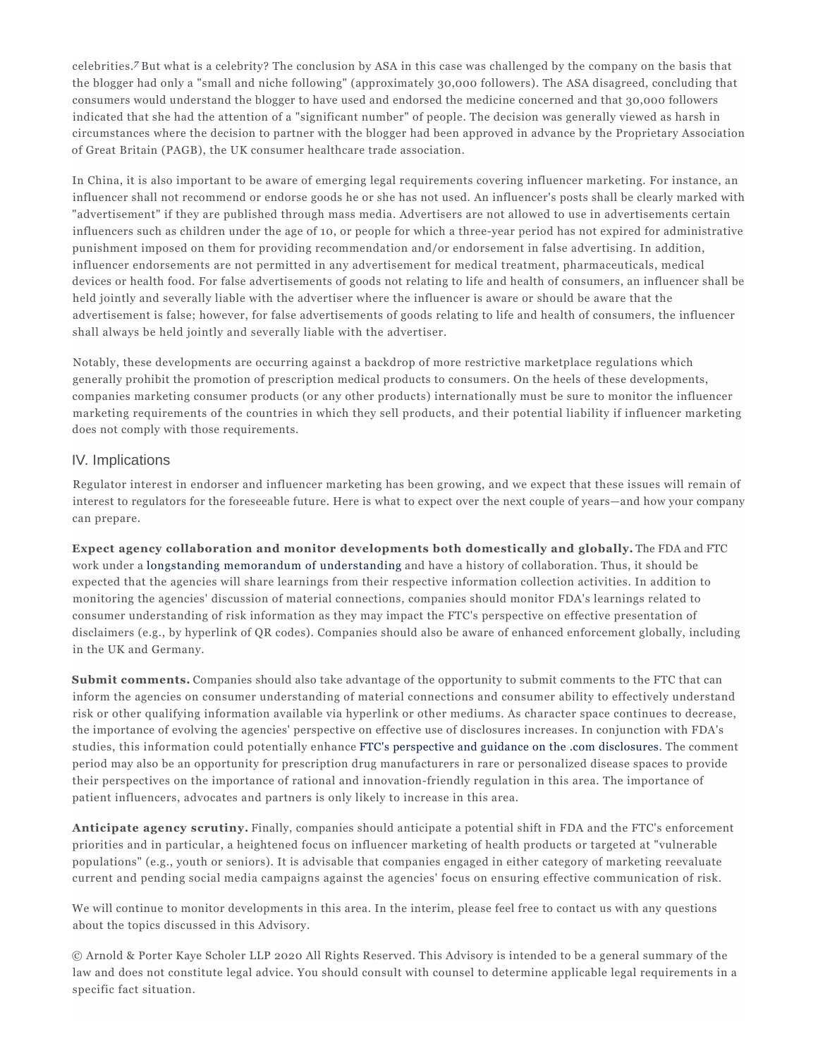celebrities.*7* But what is a celebrity? The conclusion by ASA in this case was challenged by the company on the basis that the blogger had only a "small and niche following" (approximately 30,000 followers). The ASA disagreed, concluding that consumers would understand the blogger to have used and endorsed the medicine concerned and that 30,000 followers indicated that she had the attention of a "significant number" of people. The decision was generally viewed as harsh in circumstances where the decision to partner with the blogger had been approved in advance by the Proprietary Association of Great Britain (PAGB), the UK consumer healthcare trade association.

In China, it is also important to be aware of emerging legal requirements covering influencer marketing. For instance, an influencer shall not recommend or endorse goods he or she has not used. An influencer's posts shall be clearly marked with "advertisement" if they are published through mass media. Advertisers are not allowed to use in advertisements certain influencers such as children under the age of 10, or people for which a three-year period has not expired for administrative punishment imposed on them for providing recommendation and/or endorsement in false advertising. In addition, influencer endorsements are not permitted in any advertisement for medical treatment, pharmaceuticals, medical devices or health food. For false advertisements of goods not relating to life and health of consumers, an influencer shall be held jointly and severally liable with the advertiser where the influencer is aware or should be aware that the advertisement is false; however, for false advertisements of goods relating to life and health of consumers, the influencer shall always be held jointly and severally liable with the advertiser.

Notably, these developments are occurring against a backdrop of more restrictive marketplace regulations which generally prohibit the promotion of prescription medical products to consumers. On the heels of these developments, companies marketing consumer products (or any other products) internationally must be sure to monitor the influencer marketing requirements of the countries in which they sell products, and their potential liability if influencer marketing does not comply with those requirements.

### IV. Implications

Regulator interest in endorser and influencer marketing has been growing, and we expect that these issues will remain of interest to regulators for the foreseeable future. Here is what to expect over the next couple of years—and how your company can prepare.

**Expect agency collaboration and monitor developments both domestically and globally.** The FDA and FTC work under a longstanding memorandum of understanding and have a history of collaboration. Thus, it should be expected that the agencies will share learnings from their respective information collection activities. In addition to monitoring the agencies' discussion of material connections, companies should monitor FDA's learnings related to consumer understanding of risk information as they may impact the FTC's perspective on effective presentation of disclaimers (e.g., by hyperlink of QR codes). Companies should also be aware of enhanced enforcement globally, including in the UK and Germany.

**Submit comments.** Companies should also take advantage of the opportunity to submit comments to the FTC that can inform the agencies on consumer understanding of material connections and consumer ability to effectively understand risk or other qualifying information available via hyperlink or other mediums. As character space continues to decrease, the importance of evolving the agencies' perspective on effective use of disclosures increases. In conjunction with FDA's studies, this information could potentially enhance FTC's perspective and guidance on the .com disclosures. The comment period may also be an opportunity for prescription drug manufacturers in rare or personalized disease spaces to provide their perspectives on the importance of rational and innovation-friendly regulation in this area. The importance of patient influencers, advocates and partners is only likely to increase in this area.

**Anticipate agency scrutiny.** Finally, companies should anticipate a potential shift in FDA and the FTC's enforcement priorities and in particular, a heightened focus on influencer marketing of health products or targeted at "vulnerable populations" (e.g., youth or seniors). It is advisable that companies engaged in either category of marketing reevaluate current and pending social media campaigns against the agencies' focus on ensuring effective communication of risk.

We will continue to monitor developments in this area. In the interim, please feel free to contact us with any questions about the topics discussed in this Advisory.

© Arnold & Porter Kaye Scholer LLP 2020 All Rights Reserved. This Advisory is intended to be a general summary of the law and does not constitute legal advice. You should consult with counsel to determine applicable legal requirements in a specific fact situation.